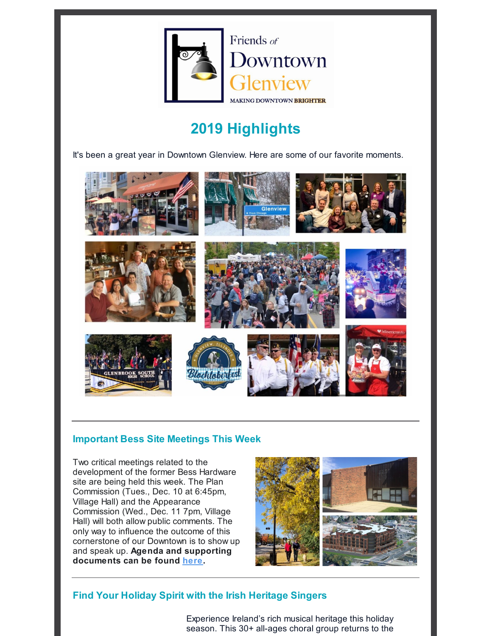

Friends of **J**owntown **ew** MAKING DOWNTOWN BRIGHTER

# **2019 Highlights**

It's been a great year in Downtown Glenview. Here are some of our favorite moments.



## **Important Bess Site Meetings This Week**

Two critical meetings related to the development of the former Bess Hardware site are being held this week. The Plan Commission (Tues., Dec. 10 at 6:45pm, Village Hall) and the Appearance Commission (Wed., Dec. 11 7pm, Village Hall) will both allow public comments. The only way to influence the outcome of this cornerstone of our Downtown is to show up and speak up. **Agenda and supporting documents can be found here.**



# **Find Your Holiday Spirit with the Irish Heritage Singers**

Experience Ireland's rich musical heritage this holiday season. This 30+ all-ages choral group returns to the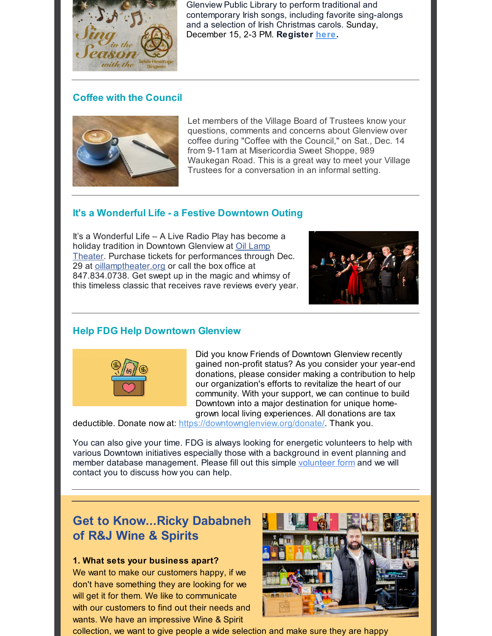

Glenview Public Library to perform traditional and contemporary Irish songs, including favorite sing-alongs and a selection of Irish Christmas carols. Sunday, December 15, 2-3 PM. **Register here.**

# **Coffee with the Council**



Let members of the Village Board of Trustees know your questions, comments and concerns about Glenview over coffee during "Coffee with the Council," on Sat., Dec. 14 from 9-11am at Misericordia Sweet Shoppe, 989 Waukegan Road. This is a great way to meet your Village Trustees for a conversation in an informal setting.

## **It's a Wonderful Life - a Festive Downtown Outing**

It's a Wonderful Life – A Live Radio Play has become a holiday tradition in Downtown Glenview at Oil Lamp Theater. Purchase tickets for performances through Dec. 29 at oillamptheater.org or call the box office at 847.834.0738. Get swept up in the magic and whimsy of this timeless classic that receives rave reviews every year.



# **Help FDG Help Downtown Glenview**



Did you know Friends of Downtown Glenview recently gained non-profit status? As you consider your year-end donations, please consider making a contribution to help our organization's efforts to revitalize the heart of our community. With your support, we can continue to build Downtown into a major destination for unique homegrown local living experiences. All donations are tax

deductible. Donate now at: https://downtownglenview.org/donate/. Thank you.

You can also give your time. FDG is always looking for energetic volunteers to help with various Downtown initiatives especially those with a background in event planning and member database management. Please fill out this simple volunteer form and we will contact you to discuss how you can help.

# **Get to Know...Ricky Dababneh of R&J Wine & Spirits**

#### **1. What sets your business apart?**

We want to make our customers happy, if we don't have something they are looking for we will get it for them. We like to communicate with our customers to find out their needs and wants. We have an impressive Wine & Spirit



collection, we want to give people a wide selection and make sure they are happy